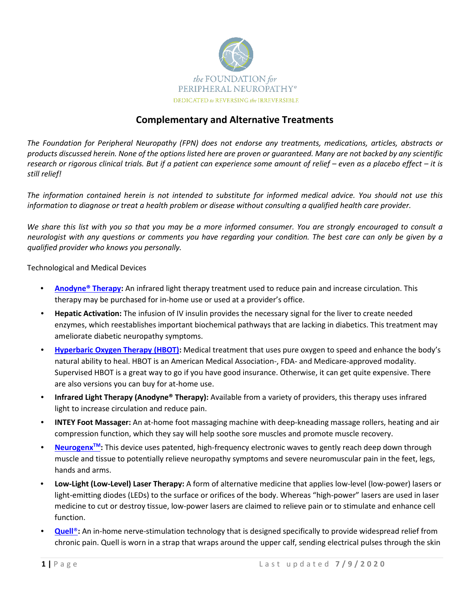

# **Complementary and Alternative Treatments**

*The Foundation for Peripheral Neuropathy (FPN) does not endorse any treatments, medications, articles, abstracts or products discussed herein. None of the options listed here are proven or guaranteed. Many are not backed by any scientific research or rigorous clinical trials. But if a patient can experience some amount of relief – even as a placebo effect – it is still relief!*

*The information contained herein is not intended to substitute for informed medical advice. You should not use this information to diagnose or treat a health problem or disease without consulting a qualified health care provider.*

*We share this list with you so that you may be a more informed consumer. You are strongly encouraged to consult a neurologist with any questions or comments you have regarding your condition. The best care can only be given by a qualified provider who knows you personally.*

Technological and Medical Devices

- **[Anodyne® Therapy:](https://www.anodynetherapy.com/)** An infrared light therapy treatment used to reduce pain and increase circulation. This therapy may be purchased for in-home use or used at a provider's office.
- **Hepatic Activation:** The infusion of IV insulin provides the necessary signal for the liver to create needed enzymes, which reestablishes important biochemical pathways that are lacking in diabetics. This treatment may ameliorate diabetic neuropathy symptoms.
- **Hyperbaric Oxygen Therapy (HBOT):** Medical treatment that uses pure oxygen to speed and enhance the body's natural ability to heal. HBOT is an American Medical Association-, FDA- and Medicare-approved modality. Supervised HBOT is a great way to go if you have good insurance. Otherwise, it can get quite expensive. There are also versions you can buy for at-home use.
- **Infrared Light Therapy (Anodyne® Therapy):** Available from a variety of providers, this therapy uses infrared light to increase circulation and reduce pain.
- **INTEY Foot Massager:** An at-home foot massaging machine with deep-kneading massage rollers, heating and air compression function, which they say will help soothe sore muscles and promote muscle recovery.
- **Neurogenx<sup>™</sup>:** This device uses patented, high-frequency electronic waves to gently reach deep down through muscle and tissue to potentially relieve neuropathy symptoms and severe neuromuscular pain in the feet, legs, hands and arms.
- **Low-Light (Low-Level) Laser Therapy:** A form of alternative medicine that applies low-level (low-power) lasers or light-emitting diodes (LEDs) to the surface or orifices of the body. Whereas "high-power" lasers are used in laser medicine to cut or destroy tissue, low-power lasers are claimed to relieve pain or to stimulate and enhance cell function.
- **[Quell](https://www.quellrelief.com/)<sup>®</sup>:** An in-home nerve-stimulation technology that is designed specifically to provide widespread relief from chronic pain. Quell is worn in a strap that wraps around the upper calf, sending electrical pulses through the skin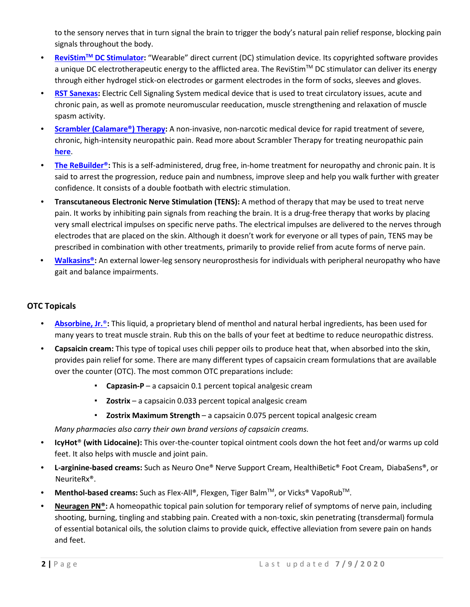to the sensory nerves that in turn signal the brain to trigger the body's natural pain relief response, blocking pain signals throughout the body.

- **ReviStimTM [DC Stimulator](file://tbg-fs01/PHILANTHROPY/The%20Foundation%20for%20PN/Website/Resources/ReviStimTM%20DC%20Stimulator)[:](https://www.doctorsoption.com/medical-supplies/revistimtm/revistimtm-foot-pain-leg-pain-and-wound-healing-kit-with-revistimtm-silver-conductive-stocking.html)** "Wearable" direct current (DC) stimulation device. Its copyrighted software provides a unique DC electrotherapeutic energy to the afflicted area. The ReviStim<sup>TM</sup> DC stimulator can deliver its energy through either hydrogel stick-on electrodes or garment electrodes in the form of socks, sleeves and gloves.
- **[RST Sanexas:](https://www.rstsanexas.com/)** Electric Cell Signaling System medical device that is used to treat circulatory issues, acute and chronic pain, as well as promote neuromuscular reeducation, muscle strengthening and relaxation of muscle spasm activity.
- **[Scrambler \(Calamare®\) Therapy:](http://calmarett.com/facilities/index.html)** A non-invasive, non-narcotic medical device for rapid treatment of severe, chronic, high-intensity neuropathic pain. Read more about Scrambler Therapy for treating neuropathic pain **[here](https://www.foundationforpn.org/2016/12/09/scrambler-therapy-for-treating-neuropathic-pain/)**[.](https://www.foundationforpn.org/2016/12/09/scrambler-therapy-for-treating-neuropathic-pain/)
- **[The ReBuilder®:](https://www.rebuildermedical.com/)** This is a self-administered, drug free, in-home treatment for neuropathy and chronic pain. It is said to arrest the progression, reduce pain and numbness, improve sleep and help you walk further with greater confidence. It consists of a double footbath with electric stimulation.
- **Transcutaneous Electronic Nerve Stimulation (TENS):** A method of therapy that may be used to treat nerve pain. It works by inhibiting pain signals from reaching the brain. It is a drug-free therapy that works by placing very small electrical impulses on specific nerve paths. The electrical impulses are delivered to the nerves through electrodes that are placed on the skin. Although it doesn't work for everyone or all types of pain, TENS may be prescribed in combination with other treatments, primarily to provide relief from acute forms of nerve pain.
- **[Walkasins®:](https://rxfunction.com/our-product/)** [A](https://www.youtube.com/watch?v=MEq-nRnsAVU&feature=youtu.be)n external lower-leg sensory neuroprosthesis for individuals with peripheral neuropathy who have gait and balance impairments.

# **OTC Topicals**

- **Absorbine, Jr.**®**:** This liquid, a proprietary blend of menthol and natural herbal ingredients, has been used for many years to treat muscle strain. Rub this on the balls of your feet at bedtime to reduce neuropathic distress.
- **Capsaicin cream:** This type of topical uses chili pepper oils to produce heat that, when absorbed into the skin, provides pain relief for some. There are many different types of capsaicin cream formulations that are available over the counter (OTC). The most common OTC preparations include:
	- **Capzasin-P** a capsaicin 0.1 percent topical analgesic cream
	- **Zostrix** a capsaicin 0.033 percent topical analgesic cream
	- **Zostrix Maximum Strength** a capsaicin 0.075 percent topical analgesic cream

*Many pharmacies also carry their own brand versions of capsaicin creams.*

- **IcyHot**® **(with Lidocaine):** This over-the-counter topical ointment cools down the hot feet and/or warms up cold feet. It also helps with muscle and joint pain.
- **L-arginine-based creams:** Such as Neuro One® Nerve Support Cream, HealthiBetic® Foot Cream, DiabaSens®, or NeuriteRx®.
- **Menthol-based creams:** Such as Flex-All®, Flexgen, Tiger Balm™, or Vicks® VapoRub™.
- **Neuragen PN®:** A homeopathic topical pain solution for temporary relief of symptoms of nerve pain, including shooting, burning, tingling and stabbing pain. Created with a non-toxic, skin penetrating (transdermal) formula of essential botanical oils, the solution claims to provide quick, effective alleviation from severe pain on hands and feet.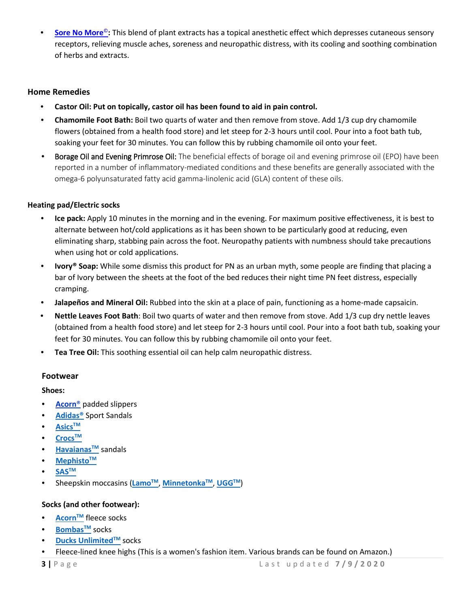■ **[Sore No More](https://sorenomoreusa.com/)**<sup>©</sup>: This blend of plant extracts has a topical anesthetic effect which depresses cutaneous sensory receptors, relieving muscle aches, soreness and neuropathic distress, with its cooling and soothing combination of herbs and extracts.

### **Home Remedies**

- **Castor Oil: Put on topically, castor oil has been found to aid in pain control.**
- **Chamomile Foot Bath:** Boil two quarts of water and then remove from stove. Add 1/3 cup dry chamomile flowers (obtained from a health food store) and let steep for 2-3 hours until cool. Pour into a foot bath tub, soaking your feet for 30 minutes. You can follow this by rubbing chamomile oil onto your feet.
- **Borage Oil and Evening Primrose Oil:** The beneficial effects of borage oil and evening primrose oil (EPO) have been reported in a number of inflammatory-mediated conditions and these benefits are generally associated with the omega-6 polyunsaturated fatty acid gamma-linolenic acid (GLA) content of these oils.

### **Heating pad/Electric socks**

- **Ice pack:** Apply 10 minutes in the morning and in the evening. For maximum positive effectiveness, it is best to alternate between hot/cold applications as it has been shown to be particularly good at reducing, even eliminating sharp, stabbing pain across the foot. Neuropathy patients with numbness should take precautions when using hot or cold applications.
- **Ivory® Soap:** While some dismiss this product for PN as an urban myth, some people are finding that placing a bar of Ivory between the sheets at the foot of the bed reduces their night time PN feet distress, especially cramping.
- **Jalapeños and Mineral Oil:** Rubbed into the skin at a place of pain, functioning as a home-made capsaicin.
- **Nettle Leaves Foot Bath**: Boil two quarts of water and then remove from stove. Add 1/3 cup dry nettle leaves (obtained from a health food store) and let steep for 2-3 hours until cool. Pour into a foot bath tub, soaking your feet for 30 minutes. You can follow this by rubbing chamomile oil onto your feet.
- **Tea Tree Oil:** This soothing essential oil can help calm neuropathic distress.

#### **Footwear**

#### **Shoes:**

- **Acorn**® padded slippers
- **Adidas®** Sport Sandals
- **AsicsTM**
- **CrocsTM**
- **Havaianas<sup>™</sup> sandals**
- **MephistoTM**
- **SASTM**
- Sheepskin moccasins (**LamoTM**, **MinnetonkaTM**, **UGGTM**)

# **Socks (and other footwear):**

- **Acorn<sup>™</sup>** fleece socks
- **BombasTM** socks
- **Ducks Unlimited™** socks
- Fleece-lined knee highs (This is a women's fashion item. Various brands can be found on Amazon.)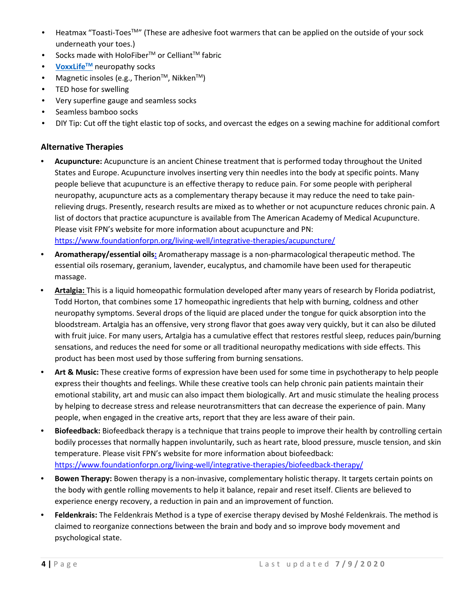- Heatmax "Toasti-Toes™" (These are adhesive foot warmers that can be applied on the outside of your sock underneath your toes.)
- Socks made with HoloFiber<sup>TM</sup> or Celliant<sup>TM</sup> fabric
- **VoxxLife<sup>TM</sup>** neuropathy socks
- Magnetic insoles (e.g., Therion<sup>TM</sup>, Nikken<sup>TM</sup>)
- TED hose for swelling
- Very superfine gauge and seamless socks
- Seamless bamboo socks
- DIY Tip: Cut off the tight elastic top of socks, and overcast the edges on a sewing machine for additional comfort

# **Alternative Therapies**

- **Acupuncture:** Acupuncture is an ancient Chinese treatment that is performed today throughout the United States and Europe. Acupuncture involves inserting very thin needles into the body at specific points. Many people believe that acupuncture is an effective therapy to reduce pain. For some people with peripheral neuropathy, acupuncture acts as a complementary therapy because it may reduce the need to take painrelieving drugs. Presently, research results are mixed as to whether or not acupuncture reduces chronic pain. A list of doctors that practice acupuncture is available from The American Academy of Medical Acupuncture. Please visit FPN's website for more information about acupuncture and PN: <https://www.foundationforpn.org/living-well/integrative-therapies/acupuncture/>
- **Aromatherapy/essential oils:** Aromatherapy massage is a non-pharmacological therapeutic method. The essential oils rosemary, geranium, lavender, eucalyptus, and chamomile have been used for therapeutic massage.
- **Artalgia:** This is a liquid homeopathic formulation developed after many years of research by Florida podiatrist, Todd Horton, that combines some 17 homeopathic ingredients that help with burning, coldness and other neuropathy symptoms. Several drops of the liquid are placed under the tongue for quick absorption into the bloodstream. Artalgia has an offensive, very strong flavor that goes away very quickly, but it can also be diluted with fruit juice. For many users, Artalgia has a cumulative effect that restores restful sleep, reduces pain/burning sensations, and reduces the need for some or all traditional neuropathy medications with side effects. This product has been most used by those suffering from burning sensations.
- **Art & Music:** These creative forms of expression have been used for some time in psychotherapy to help people express their thoughts and feelings. While these creative tools can help chronic pain patients maintain their emotional stability, art and music can also impact them biologically. Art and music stimulate the healing process by helping to decrease stress and release neurotransmitters that can decrease the experience of pain. Many people, when engaged in the creative arts, report that they are less aware of their pain.
- **Biofeedback:** Biofeedback therapy is a technique that trains people to improve their health by controlling certain bodily processes that normally happen involuntarily, such as heart rate, blood pressure, muscle tension, and skin temperature. Please visit FPN's website for more information about biofeedback: <https://www.foundationforpn.org/living-well/integrative-therapies/biofeedback-therapy/>
- **Bowen Therapy:** Bowen therapy is a non-invasive, complementary holistic therapy. It targets certain points on the body with gentle rolling movements to help it balance, repair and reset itself. Clients are believed to experience energy recovery, a reduction in pain and an improvement of function.
- **Feldenkrais:** The Feldenkrais Method is a type of exercise therapy devised by Moshé Feldenkrais. The method is claimed to reorganize connections between the brain and body and so improve body movement and psychological state.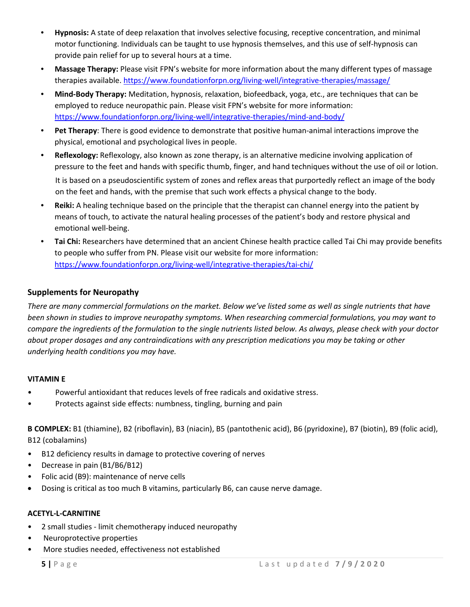- **Hypnosis:** A state of deep relaxation that involves selective focusing, receptive concentration, and minimal motor functioning. Individuals can be taught to use hypnosis themselves, and this use of self-hypnosis can provide pain relief for up to several hours at a time.
- **Massage Therapy:** Please visit FPN's website for more information about the many different types of massage therapies available.<https://www.foundationforpn.org/living-well/integrative-therapies/massage/>
- **Mind-Body Therapy:** Meditation, hypnosis, relaxation, biofeedback, yoga, etc., are techniques that can be employed to reduce neuropathic pain. Please visit FPN's website for more information: <https://www.foundationforpn.org/living-well/integrative-therapies/mind-and-body/>
- **Pet Therapy**: There is good evidence to demonstrate that positive human-animal interactions improve the physical, emotional and psychological lives in people.
- **Reflexology:** Reflexology, also known as zone therapy, is an alternative medicine involving application of pressure to the feet and hands with specific thumb, finger, and hand techniques without the use of oil or lotion. It is based on a pseudoscientific system of zones and reflex areas that purportedly reflect an image of the body on the feet and hands, with the premise that such work effects a physical change to the body.
- **Reiki:** A healing technique based on the principle that the therapist can channel energy into the patient by means of touch, to activate the natural healing processes of the patient's body and restore physical and emotional well-being.
- **Tai Chi:** Researchers have determined that an ancient Chinese health practice called Tai Chi may provide benefits to people who suffer from PN. Please visit our website for more information: <https://www.foundationforpn.org/living-well/integrative-therapies/tai-chi/>

# **Supplements for Neuropathy**

*There are many commercial formulations on the market. Below we've listed some as well as single nutrients that have been shown in studies to improve neuropathy symptoms. When researching commercial formulations, you may want to compare the ingredients of the formulation to the single nutrients listed below. As always, please check with your doctor about proper dosages and any contraindications with any prescription medications you may be taking or other underlying health conditions you may have.*

# **VITAMIN E**

- Powerful antioxidant that reduces levels of free radicals and oxidative stress.
- Protects against side effects: numbness, tingling, burning and pain

**B COMPLEX:** B1 (thiamine), B2 (riboflavin), B3 (niacin), B5 (pantothenic acid), B6 (pyridoxine), B7 (biotin), B9 (folic acid), B12 (cobalamins)

- B12 deficiency results in damage to protective covering of nerves
- Decrease in pain (B1/B6/B12)
- Folic acid (B9): maintenance of nerve cells
- Dosing is critical as too much B vitamins, particularly B6, can cause nerve damage.

#### **ACETYL-L-CARNITINE**

- 2 small studies limit chemotherapy induced neuropathy
- Neuroprotective properties
- More studies needed, effectiveness not established